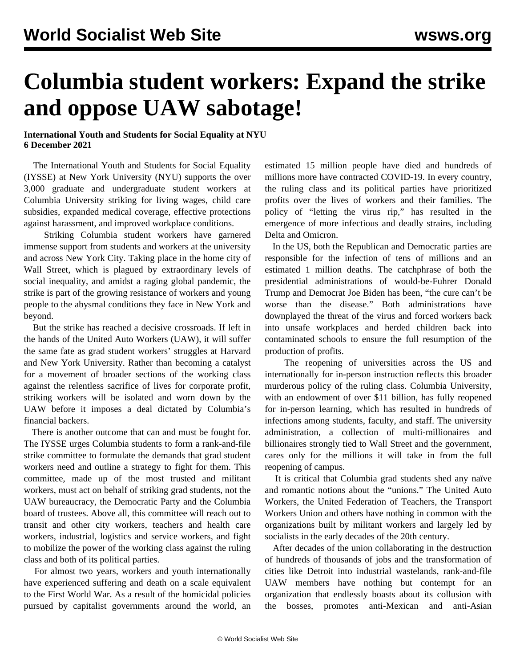## **Columbia student workers: Expand the strike and oppose UAW sabotage!**

## **International Youth and Students for Social Equality at NYU 6 December 2021**

 The International Youth and Students for Social Equality (IYSSE) at New York University (NYU) supports the over 3,000 graduate and undergraduate student workers at Columbia University striking for living wages, child care subsidies, expanded medical coverage, effective protections against harassment, and improved workplace conditions.

 Striking Columbia student workers have garnered immense support from students and workers at the university and across New York City. Taking place in the home city of Wall Street, which is plagued by extraordinary levels of social inequality, and amidst a raging global pandemic, the strike is part of the growing resistance of workers and young people to the abysmal conditions they face in New York and beyond.

 But the strike has reached a decisive crossroads. If left in the hands of the United Auto Workers (UAW), it will suffer the same fate as grad student workers' struggles at Harvard and New York University. Rather than becoming a catalyst for a movement of broader sections of the working class against the relentless sacrifice of lives for corporate profit, striking workers will be isolated and worn down by the UAW before it imposes a deal dictated by Columbia's financial backers.

 There is another outcome that can and must be fought for. The IYSSE urges Columbia students to form a rank-and-file strike committee to formulate the demands that grad student workers need and outline a strategy to fight for them. This committee, made up of the most trusted and militant workers, must act on behalf of striking grad students, not the UAW bureaucracy, the Democratic Party and the Columbia board of trustees. Above all, this committee will reach out to transit and other city workers, teachers and health care workers, industrial, logistics and service workers, and fight to mobilize the power of the working class against the ruling class and both of its political parties.

 For almost two years, workers and youth internationally have experienced suffering and death on a scale equivalent to the First World War. As a result of the homicidal policies pursued by capitalist governments around the world, an estimated 15 million people have died and hundreds of millions more have contracted COVID-19. In every country, the ruling class and its political parties have prioritized profits over the lives of workers and their families. The policy of "letting the virus rip," has resulted in the emergence of more infectious and deadly strains, including Delta and Omicron.

 In the US, both the Republican and Democratic parties are responsible for the infection of tens of millions and an estimated 1 million deaths. The catchphrase of both the presidential administrations of would-be-Fuhrer Donald Trump and Democrat Joe Biden has been, "the cure can't be worse than the disease." Both administrations have downplayed the threat of the virus and forced workers back into unsafe workplaces and herded children back into contaminated schools to ensure the full resumption of the production of profits.

 The reopening of universities across the US and internationally for in-person instruction reflects this broader murderous policy of the ruling class. Columbia University, with an endowment of over \$11 billion, has fully reopened for in-person learning, which has resulted in hundreds of infections among students, faculty, and staff. The university administration, a collection of multi-millionaires and billionaires strongly tied to Wall Street and the government, cares only for the millions it will take in from the full reopening of campus.

 It is critical that Columbia grad students shed any naïve and romantic notions about the "unions." The United Auto Workers, the United Federation of Teachers, the Transport Workers Union and others have nothing in common with the organizations built by militant workers and largely led by socialists in the early decades of the 20th century.

 After decades of the union collaborating in the destruction of hundreds of thousands of jobs and the transformation of cities like Detroit into industrial wastelands, rank-and-file UAW members have nothing but contempt for an organization that endlessly boasts about its collusion with the bosses, promotes anti-Mexican and anti-Asian